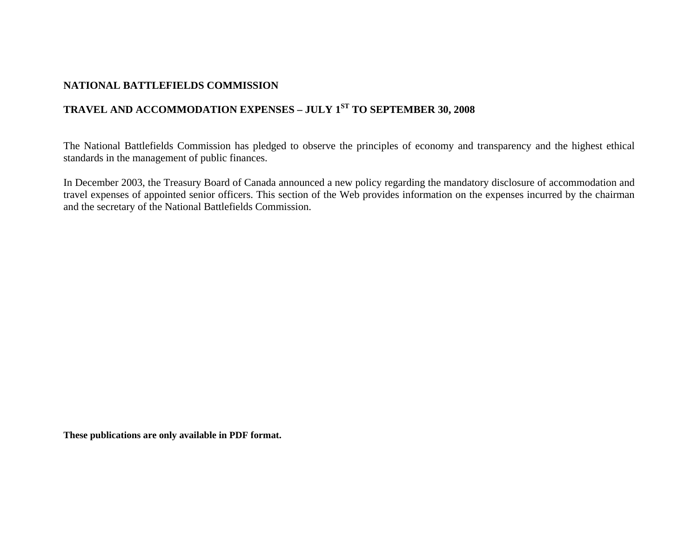# **NATIONAL BATTLEFIELDS COMMISSION**

# **TRAVEL AND ACCOMMODATION EXPENSES – JULY 1ST TO SEPTEMBER 30, 2008**

The National Battlefields Commission has pledged to observe the principles of economy and transparency and the highest ethical standards in the management of public finances.

In December 2003, the Treasury Board of Canada announced a new policy regarding the mandatory disclosure of accommodation and travel expenses of appointed senior officers. This section of the Web provides information on the expenses incurred by the chairman and the secretary of the National Battlefields Commission.

**These publications are only available in PDF format.**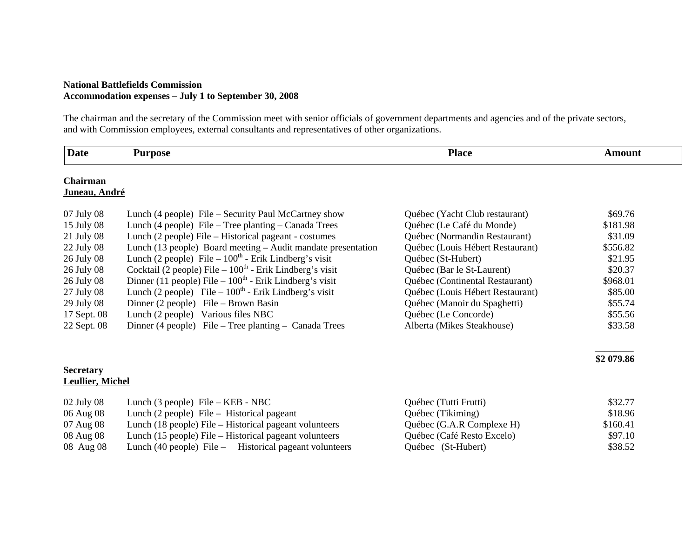#### **National Battlefields Commission Accommodation expenses – July 1 to September 30, 2008**

The chairman and the secretary of the Commission meet with senior officials of government departments and agencies and of the private sectors, and with Commission employees, external consultants and representatives of other organizations.

| <b>Date</b>                                 | <b>Purpose</b>                                                     | <b>Place</b>                     | Amount     |
|---------------------------------------------|--------------------------------------------------------------------|----------------------------------|------------|
| <b>Chairman</b>                             |                                                                    |                                  |            |
| Juneau, André                               |                                                                    |                                  |            |
| 07 July 08                                  | Lunch (4 people) File – Security Paul McCartney show               | Québec (Yacht Club restaurant)   | \$69.76    |
| 15 July 08                                  | Lunch (4 people) File – Tree planting – Canada Trees               | Québec (Le Café du Monde)        | \$181.98   |
| 21 July 08                                  | Lunch (2 people) File – Historical pageant - costumes              | Québec (Normandin Restaurant)    | \$31.09    |
| 22 July 08                                  | Lunch (13 people) Board meeting – Audit mandate presentation       | Québec (Louis Hébert Restaurant) | \$556.82   |
| 26 July 08                                  | Lunch (2 people) File – $100^{\text{th}}$ - Erik Lindberg's visit  | Québec (St-Hubert)               | \$21.95    |
| 26 July 08                                  | Cocktail (2 people) File $-100th$ - Erik Lindberg's visit          | Québec (Bar le St-Laurent)       | \$20.37    |
| 26 July 08                                  | Dinner (11 people) File $-100^{\text{th}}$ - Erik Lindberg's visit | Québec (Continental Restaurant)  | \$968.01   |
| 27 July 08                                  | Lunch (2 people) File – $100th$ - Erik Lindberg's visit            | Québec (Louis Hébert Restaurant) | \$85.00    |
| 29 July 08                                  | Dinner (2 people) File – Brown Basin                               | Québec (Manoir du Spaghetti)     | \$55.74    |
| 17 Sept. 08                                 | Lunch (2 people) Various files NBC                                 | Québec (Le Concorde)             | \$55.56    |
| 22 Sept. 08                                 | Dinner (4 people) File – Tree planting – Canada Trees              | Alberta (Mikes Steakhouse)       | \$33.58    |
|                                             |                                                                    |                                  | \$2 079.86 |
| <b>Secretary</b><br><b>Leullier, Michel</b> |                                                                    |                                  |            |
| 02 July 08                                  | Lunch $(3$ people) File – KEB - NBC                                | Québec (Tutti Frutti)            | \$32.77    |
| 06 Aug 08                                   | Lunch (2 people) File – Historical pageant                         | Québec (Tikiming)                | \$18.96    |
| 07 Aug 08                                   | Lunch (18 people) File - Historical pageant volunteers             | Québec (G.A.R Complexe H)        | \$160.41   |
| 08 Aug 08                                   | Lunch (15 people) File – Historical pageant volunteers             | Québec (Café Resto Excelo)       | \$97.10    |
| 08 Aug 08                                   | Lunch (40 people) File – Historical pageant volunteers             | Québec (St-Hubert)               | \$38.52    |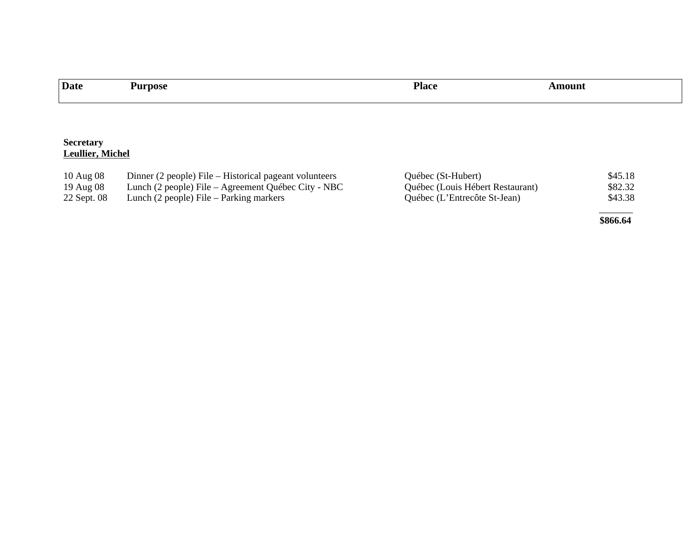| <b>Date</b>                                  | <b>Purpose</b> | <b>Place</b> | <b>Amount</b> |
|----------------------------------------------|----------------|--------------|---------------|
|                                              |                |              |               |
|                                              |                |              |               |
|                                              |                |              |               |
|                                              |                |              |               |
| <b>Secretary<br/><u>Leullier, Michel</u></b> |                |              |               |

\$866.64

| $10$ Aug 08 | Dinner (2 people) File – Historical pageant volunteers | Québec (St-Hubert)               | \$45.18 |
|-------------|--------------------------------------------------------|----------------------------------|---------|
| 19 Aug 08   | Lunch (2 people) File – Agreement Québec City - NBC    | Québec (Louis Hébert Restaurant) | \$82.32 |
| 22 Sept. 08 | Lunch $(2$ people) File – Parking markers              | Québec (L'Entrecôte St-Jean)     | \$43.38 |

 **\$866.64**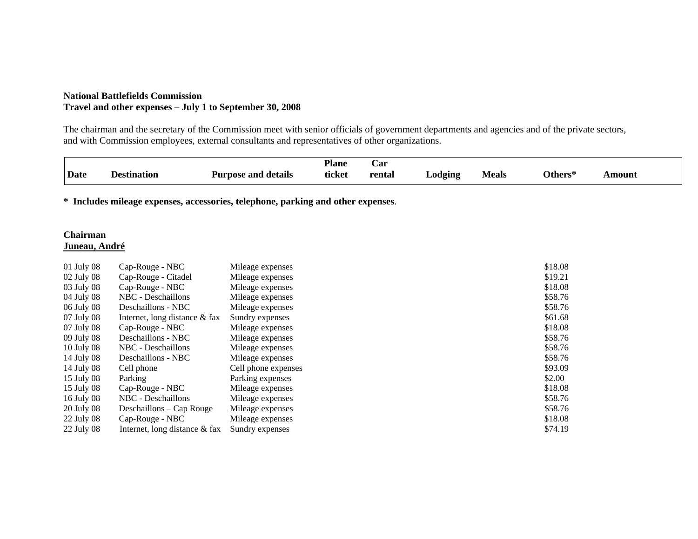## **National Battlefields Commission Travel and other expenses – July 1 to September 30, 2008**

The chairman and the secretary of the Commission meet with senior officials of government departments and agencies and of the private sectors, and with Commission employees, external consultants and representatives of other organizations.

|             |             |                            | <b>Plane</b> | Uar         |         |              |                     |       |
|-------------|-------------|----------------------------|--------------|-------------|---------|--------------|---------------------|-------|
| <b>Date</b> | Destination | <b>Purpose and details</b> | ticket       | rental<br>. | ⊥odging | <b>Meals</b> | <b>Others*</b><br>. | moun. |

**\* Includes mileage expenses, accessories, telephone, parking and other expenses**.

## **Chairman Juneau, André**

| $01$ July 08 | Cap-Rouge - NBC                  | Mileage expenses    | \$18.08 |
|--------------|----------------------------------|---------------------|---------|
| 02 July 08   | Cap-Rouge - Citadel              | Mileage expenses    | \$19.21 |
| 03 July 08   | Cap-Rouge - NBC                  | Mileage expenses    | \$18.08 |
| 04 July 08   | NBC - Deschaillons               | Mileage expenses    | \$58.76 |
| 06 July 08   | Deschaillons - NBC               | Mileage expenses    | \$58.76 |
| 07 July 08   | Internet, long distance $\&$ fax | Sundry expenses     | \$61.68 |
| 07 July 08   | Cap-Rouge - NBC                  | Mileage expenses    | \$18.08 |
| 09 July 08   | Deschaillons - NBC               | Mileage expenses    | \$58.76 |
| $10$ July 08 | NBC - Deschaillons               | Mileage expenses    | \$58.76 |
| 14 July 08   | Deschaillons - NBC               | Mileage expenses    | \$58.76 |
| 14 July 08   | Cell phone                       | Cell phone expenses | \$93.09 |
| 15 July 08   | Parking                          | Parking expenses    | \$2.00  |
| 15 July 08   | Cap-Rouge - NBC                  | Mileage expenses    | \$18.08 |
| 16 July 08   | NBC - Deschaillons               | Mileage expenses    | \$58.76 |
| 20 July 08   | Deschaillons – Cap Rouge         | Mileage expenses    | \$58.76 |
| 22 July 08   | Cap-Rouge - NBC                  | Mileage expenses    | \$18.08 |
| 22 July 08   | Internet, long distance $\&$ fax | Sundry expenses     | \$74.19 |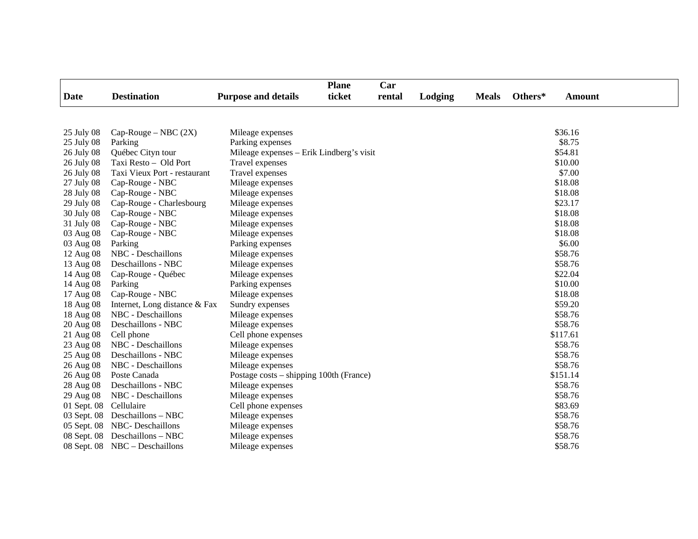| <b>Date</b> | <b>Destination</b>             | <b>Purpose and details</b>               | <b>Plane</b><br>ticket | Car<br>rental | Lodging | <b>Meals</b> | Others* | <b>Amount</b> |
|-------------|--------------------------------|------------------------------------------|------------------------|---------------|---------|--------------|---------|---------------|
|             |                                |                                          |                        |               |         |              |         |               |
| 25 July 08  | $Cap-Rouge-NBC(2X)$            | Mileage expenses                         |                        |               |         |              |         | \$36.16       |
| 25 July 08  | Parking                        | Parking expenses                         |                        |               |         |              |         | \$8.75        |
| 26 July 08  | Québec Cityn tour              | Mileage expenses - Erik Lindberg's visit |                        |               |         |              |         | \$54.81       |
| 26 July 08  | Taxi Resto - Old Port          | Travel expenses                          |                        |               |         |              |         | \$10.00       |
| 26 July 08  | Taxi Vieux Port - restaurant   | Travel expenses                          |                        |               |         |              |         | \$7.00        |
| 27 July 08  | Cap-Rouge - NBC                | Mileage expenses                         |                        |               |         |              |         | \$18.08       |
| 28 July 08  | Cap-Rouge - NBC                | Mileage expenses                         |                        |               |         |              |         | \$18.08       |
| 29 July 08  | Cap-Rouge - Charlesbourg       | Mileage expenses                         |                        |               |         |              |         | \$23.17       |
| 30 July 08  | Cap-Rouge - NBC                | Mileage expenses                         |                        |               |         |              |         | \$18.08       |
| 31 July 08  | Cap-Rouge - NBC                | Mileage expenses                         |                        |               |         |              |         | \$18.08       |
| 03 Aug 08   | Cap-Rouge - NBC                | Mileage expenses                         |                        |               |         |              |         | \$18.08       |
| 03 Aug 08   | Parking                        | Parking expenses                         |                        |               |         |              |         | \$6.00        |
| 12 Aug 08   | NBC - Deschaillons             | Mileage expenses                         |                        |               |         |              |         | \$58.76       |
| 13 Aug 08   | Deschaillons - NBC             | Mileage expenses                         |                        |               |         |              |         | \$58.76       |
| 14 Aug 08   | Cap-Rouge - Québec             | Mileage expenses                         |                        |               |         |              |         | \$22.04       |
| 14 Aug 08   | Parking                        | Parking expenses                         |                        |               |         |              |         | \$10.00       |
| 17 Aug 08   | Cap-Rouge - NBC                | Mileage expenses                         |                        |               |         |              |         | \$18.08       |
| 18 Aug 08   | Internet, Long distance & Fax  | Sundry expenses                          |                        |               |         |              |         | \$59.20       |
| 18 Aug 08   | NBC - Deschaillons             | Mileage expenses                         |                        |               |         |              |         | \$58.76       |
| 20 Aug 08   | Deschaillons - NBC             | Mileage expenses                         |                        |               |         |              |         | \$58.76       |
| 21 Aug 08   | Cell phone                     | Cell phone expenses                      |                        |               |         |              |         | \$117.61      |
| 23 Aug 08   | NBC - Deschaillons             | Mileage expenses                         |                        |               |         |              |         | \$58.76       |
| 25 Aug 08   | Deschaillons - NBC             | Mileage expenses                         |                        |               |         |              |         | \$58.76       |
| 26 Aug 08   | NBC - Deschaillons             | Mileage expenses                         |                        |               |         |              |         | \$58.76       |
| 26 Aug 08   | Poste Canada                   | Postage costs – shipping 100th (France)  |                        |               |         |              |         | \$151.14      |
| 28 Aug 08   | Deschaillons - NBC             | Mileage expenses                         |                        |               |         |              |         | \$58.76       |
| 29 Aug 08   | NBC - Deschaillons             | Mileage expenses                         |                        |               |         |              |         | \$58.76       |
| 01 Sept. 08 | Cellulaire                     | Cell phone expenses                      |                        |               |         |              |         | \$83.69       |
|             | 03 Sept. 08 Deschaillons - NBC | Mileage expenses                         |                        |               |         |              |         | \$58.76       |
|             | 05 Sept. 08 NBC- Deschaillons  | Mileage expenses                         |                        |               |         |              |         | \$58.76       |
|             | 08 Sept. 08 Deschaillons - NBC | Mileage expenses                         |                        |               |         |              |         | \$58.76       |
|             | 08 Sept. 08 NBC - Deschaillons | Mileage expenses                         |                        |               |         |              |         | \$58.76       |